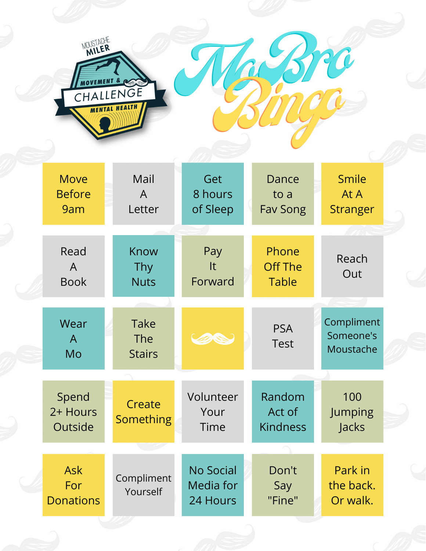